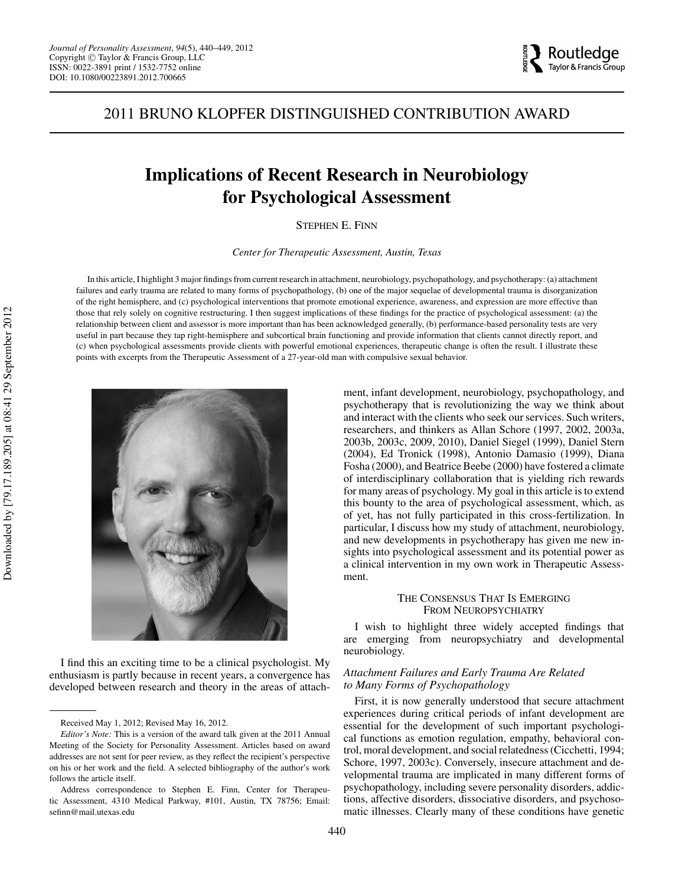

## 2011 BRUNO KLOPFER DISTINGUISHED CONTRIBUTION AWARD

# **Implications of Recent Research in Neurobiology for Psychological Assessment**

STEPHEN E. FINN

*Center for Therapeutic Assessment, Austin, Texas*

In this article, I highlight 3 major findings from current research in attachment, neurobiology, psychopathology, and psychotherapy: (a) attachment failures and early trauma are related to many forms of psychopathology, (b) one of the major sequelae of developmental trauma is disorganization of the right hemisphere, and (c) psychological interventions that promote emotional experience, awareness, and expression are more effective than those that rely solely on cognitive restructuring. I then suggest implications of these findings for the practice of psychological assessment: (a) the relationship between client and assessor is more important than has been acknowledged generally, (b) performance-based personality tests are very useful in part because they tap right-hemisphere and subcortical brain functioning and provide information that clients cannot directly report, and (c) when psychological assessments provide clients with powerful emotional experiences, therapeutic change is often the result. I illustrate these points with excerpts from the Therapeutic Assessment of a 27-year-old man with compulsive sexual behavior.



I find this an exciting time to be a clinical psychologist. My enthusiasm is partly because in recent years, a convergence has developed between research and theory in the areas of attachment, infant development, neurobiology, psychopathology, and psychotherapy that is revolutionizing the way we think about and interact with the clients who seek our services. Such writers, researchers, and thinkers as Allan Schore (1997, 2002, 2003a, 2003b, 2003c, 2009, 2010), Daniel Siegel (1999), Daniel Stern (2004), Ed Tronick (1998), Antonio Damasio (1999), Diana Fosha (2000), and Beatrice Beebe (2000) have fostered a climate of interdisciplinary collaboration that is yielding rich rewards for many areas of psychology. My goal in this article is to extend this bounty to the area of psychological assessment, which, as of yet, has not fully participated in this cross-fertilization. In particular, I discuss how my study of attachment, neurobiology, and new developments in psychotherapy has given me new insights into psychological assessment and its potential power as a clinical intervention in my own work in Therapeutic Assessment.

## THE CONSENSUS THAT IS EMERGING FROM NEUROPSYCHIATRY

I wish to highlight three widely accepted findings that are emerging from neuropsychiatry and developmental neurobiology.

## *Attachment Failures and Early Trauma Are Related to Many Forms of Psychopathology*

First, it is now generally understood that secure attachment experiences during critical periods of infant development are essential for the development of such important psychological functions as emotion regulation, empathy, behavioral control, moral development, and social relatedness (Cicchetti, 1994; Schore, 1997, 2003c). Conversely, insecure attachment and developmental trauma are implicated in many different forms of psychopathology, including severe personality disorders, addictions, affective disorders, dissociative disorders, and psychosomatic illnesses. Clearly many of these conditions have genetic

Received May 1, 2012; Revised May 16, 2012.

*Editor's Note:* This is a version of the award talk given at the 2011 Annual Meeting of the Society for Personality Assessment. Articles based on award addresses are not sent for peer review, as they reflect the recipient's perspective on his or her work and the field. A selected bibliography of the author's work follows the article itself.

Address correspondence to Stephen E. Finn, Center for Therapeutic Assessment, 4310 Medical Parkway, #101, Austin, TX 78756; Email: sefinn@mail.utexas.edu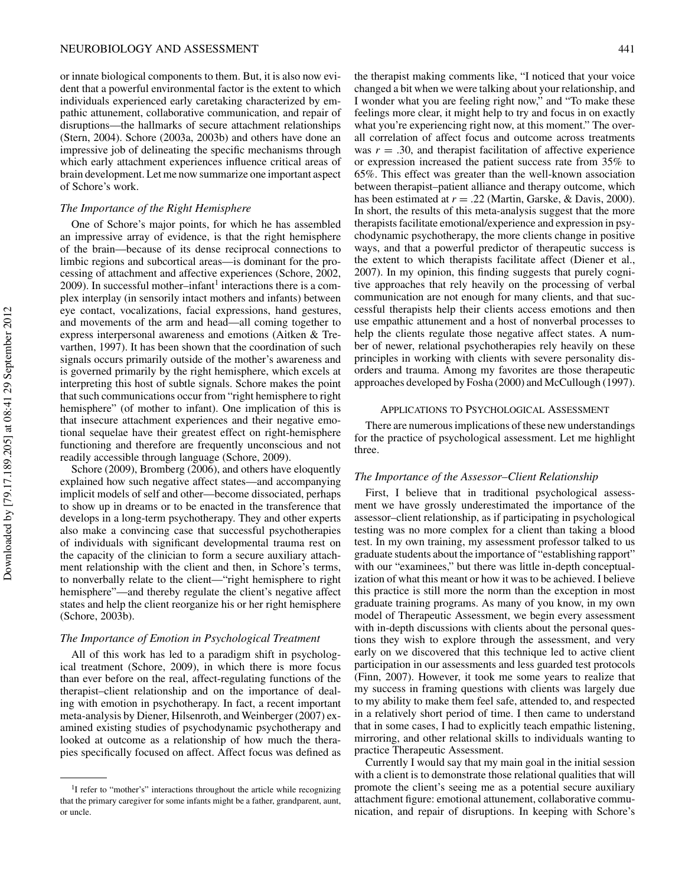or innate biological components to them. But, it is also now evident that a powerful environmental factor is the extent to which individuals experienced early caretaking characterized by empathic attunement, collaborative communication, and repair of disruptions—the hallmarks of secure attachment relationships (Stern, 2004). Schore (2003a, 2003b) and others have done an impressive job of delineating the specific mechanisms through which early attachment experiences influence critical areas of brain development. Let me now summarize one important aspect of Schore's work.

## *The Importance of the Right Hemisphere*

One of Schore's major points, for which he has assembled an impressive array of evidence, is that the right hemisphere of the brain—because of its dense reciprocal connections to limbic regions and subcortical areas—is dominant for the processing of attachment and affective experiences (Schore, 2002,  $2009$ ). In successful mother–infant<sup>1</sup> interactions there is a complex interplay (in sensorily intact mothers and infants) between eye contact, vocalizations, facial expressions, hand gestures, and movements of the arm and head—all coming together to express interpersonal awareness and emotions (Aitken & Trevarthen, 1997). It has been shown that the coordination of such signals occurs primarily outside of the mother's awareness and is governed primarily by the right hemisphere, which excels at interpreting this host of subtle signals. Schore makes the point that such communications occur from "right hemisphere to right hemisphere" (of mother to infant). One implication of this is that insecure attachment experiences and their negative emotional sequelae have their greatest effect on right-hemisphere functioning and therefore are frequently unconscious and not readily accessible through language (Schore, 2009).

Schore (2009), Bromberg (2006), and others have eloquently explained how such negative affect states—and accompanying implicit models of self and other—become dissociated, perhaps to show up in dreams or to be enacted in the transference that develops in a long-term psychotherapy. They and other experts also make a convincing case that successful psychotherapies of individuals with significant developmental trauma rest on the capacity of the clinician to form a secure auxiliary attachment relationship with the client and then, in Schore's terms, to nonverbally relate to the client—"right hemisphere to right hemisphere"—and thereby regulate the client's negative affect states and help the client reorganize his or her right hemisphere (Schore, 2003b).

#### *The Importance of Emotion in Psychological Treatment*

All of this work has led to a paradigm shift in psychological treatment (Schore, 2009), in which there is more focus than ever before on the real, affect-regulating functions of the therapist–client relationship and on the importance of dealing with emotion in psychotherapy. In fact, a recent important meta-analysis by Diener, Hilsenroth, and Weinberger (2007) examined existing studies of psychodynamic psychotherapy and looked at outcome as a relationship of how much the therapies specifically focused on affect. Affect focus was defined as

the therapist making comments like, "I noticed that your voice changed a bit when we were talking about your relationship, and I wonder what you are feeling right now," and "To make these feelings more clear, it might help to try and focus in on exactly what you're experiencing right now, at this moment." The overall correlation of affect focus and outcome across treatments was  $r = .30$ , and therapist facilitation of affective experience or expression increased the patient success rate from 35% to 65%. This effect was greater than the well-known association between therapist–patient alliance and therapy outcome, which has been estimated at *r* = .22 (Martin, Garske, & Davis, 2000). In short, the results of this meta-analysis suggest that the more therapists facilitate emotional/experience and expression in psychodynamic psychotherapy, the more clients change in positive ways, and that a powerful predictor of therapeutic success is the extent to which therapists facilitate affect (Diener et al., 2007). In my opinion, this finding suggests that purely cognitive approaches that rely heavily on the processing of verbal communication are not enough for many clients, and that successful therapists help their clients access emotions and then use empathic attunement and a host of nonverbal processes to help the clients regulate those negative affect states. A number of newer, relational psychotherapies rely heavily on these principles in working with clients with severe personality disorders and trauma. Among my favorites are those therapeutic approaches developed by Fosha (2000) and McCullough (1997).

## APPLICATIONS TO PSYCHOLOGICAL ASSESSMENT

There are numerous implications of these new understandings for the practice of psychological assessment. Let me highlight three.

#### *The Importance of the Assessor–Client Relationship*

First, I believe that in traditional psychological assessment we have grossly underestimated the importance of the assessor–client relationship, as if participating in psychological testing was no more complex for a client than taking a blood test. In my own training, my assessment professor talked to us graduate students about the importance of "establishing rapport" with our "examinees," but there was little in-depth conceptualization of what this meant or how it was to be achieved. I believe this practice is still more the norm than the exception in most graduate training programs. As many of you know, in my own model of Therapeutic Assessment, we begin every assessment with in-depth discussions with clients about the personal questions they wish to explore through the assessment, and very early on we discovered that this technique led to active client participation in our assessments and less guarded test protocols (Finn, 2007). However, it took me some years to realize that my success in framing questions with clients was largely due to my ability to make them feel safe, attended to, and respected in a relatively short period of time. I then came to understand that in some cases, I had to explicitly teach empathic listening, mirroring, and other relational skills to individuals wanting to practice Therapeutic Assessment.

Currently I would say that my main goal in the initial session with a client is to demonstrate those relational qualities that will promote the client's seeing me as a potential secure auxiliary attachment figure: emotional attunement, collaborative communication, and repair of disruptions. In keeping with Schore's

<sup>&</sup>lt;sup>1</sup>I refer to "mother's" interactions throughout the article while recognizing that the primary caregiver for some infants might be a father, grandparent, aunt, or uncle.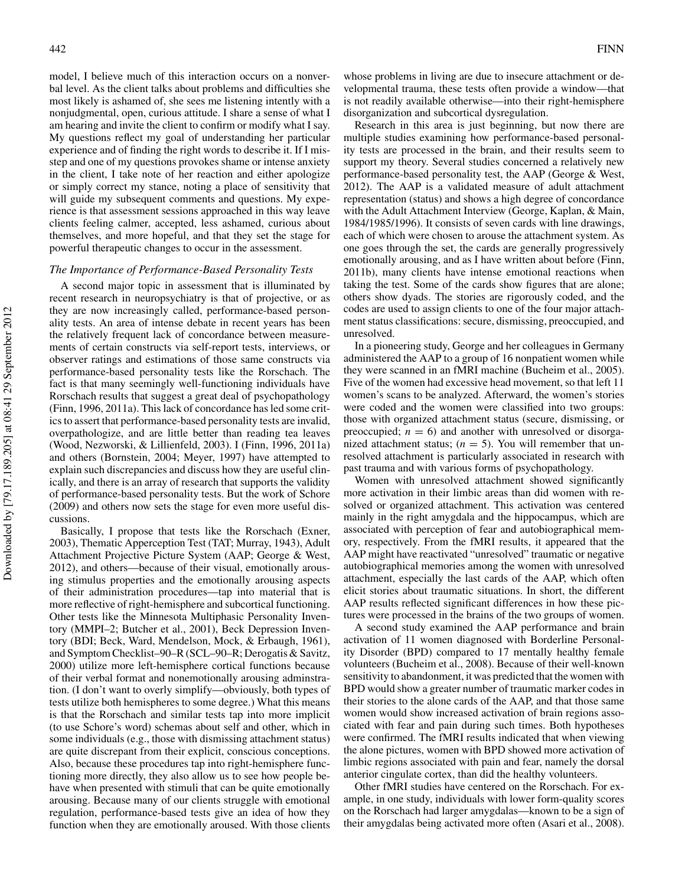model, I believe much of this interaction occurs on a nonverbal level. As the client talks about problems and difficulties she most likely is ashamed of, she sees me listening intently with a nonjudgmental, open, curious attitude. I share a sense of what I am hearing and invite the client to confirm or modify what I say. My questions reflect my goal of understanding her particular experience and of finding the right words to describe it. If I misstep and one of my questions provokes shame or intense anxiety in the client, I take note of her reaction and either apologize or simply correct my stance, noting a place of sensitivity that will guide my subsequent comments and questions. My experience is that assessment sessions approached in this way leave clients feeling calmer, accepted, less ashamed, curious about themselves, and more hopeful, and that they set the stage for powerful therapeutic changes to occur in the assessment.

## *The Importance of Performance-Based Personality Tests*

A second major topic in assessment that is illuminated by recent research in neuropsychiatry is that of projective, or as they are now increasingly called, performance-based personality tests. An area of intense debate in recent years has been the relatively frequent lack of concordance between measurements of certain constructs via self-report tests, interviews, or observer ratings and estimations of those same constructs via performance-based personality tests like the Rorschach. The fact is that many seemingly well-functioning individuals have Rorschach results that suggest a great deal of psychopathology (Finn, 1996, 2011a). This lack of concordance has led some critics to assert that performance-based personality tests are invalid, overpathologize, and are little better than reading tea leaves (Wood, Nezworski, & Lillienfeld, 2003). I (Finn, 1996, 2011a) and others (Bornstein, 2004; Meyer, 1997) have attempted to explain such discrepancies and discuss how they are useful clinically, and there is an array of research that supports the validity of performance-based personality tests. But the work of Schore (2009) and others now sets the stage for even more useful discussions.

Basically, I propose that tests like the Rorschach (Exner, 2003), Thematic Apperception Test (TAT; Murray, 1943), Adult Attachment Projective Picture System (AAP; George & West, 2012), and others—because of their visual, emotionally arousing stimulus properties and the emotionally arousing aspects of their administration procedures—tap into material that is more reflective of right-hemisphere and subcortical functioning. Other tests like the Minnesota Multiphasic Personality Inventory (MMPI–2; Butcher et al., 2001), Beck Depression Inventory (BDI; Beck, Ward, Mendelson, Mock, & Erbaugh, 1961), and Symptom Checklist–90–R (SCL–90–R; Derogatis & Savitz, 2000) utilize more left-hemisphere cortical functions because of their verbal format and nonemotionally arousing adminstration. (I don't want to overly simplify—obviously, both types of tests utilize both hemispheres to some degree.) What this means is that the Rorschach and similar tests tap into more implicit (to use Schore's word) schemas about self and other, which in some individuals (e.g., those with dismissing attachment status) are quite discrepant from their explicit, conscious conceptions. Also, because these procedures tap into right-hemisphere functioning more directly, they also allow us to see how people behave when presented with stimuli that can be quite emotionally arousing. Because many of our clients struggle with emotional regulation, performance-based tests give an idea of how they function when they are emotionally aroused. With those clients

whose problems in living are due to insecure attachment or developmental trauma, these tests often provide a window—that is not readily available otherwise—into their right-hemisphere disorganization and subcortical dysregulation.

Research in this area is just beginning, but now there are multiple studies examining how performance-based personality tests are processed in the brain, and their results seem to support my theory. Several studies concerned a relatively new performance-based personality test, the AAP (George & West, 2012). The AAP is a validated measure of adult attachment representation (status) and shows a high degree of concordance with the Adult Attachment Interview (George, Kaplan, & Main, 1984/1985/1996). It consists of seven cards with line drawings, each of which were chosen to arouse the attachment system. As one goes through the set, the cards are generally progressively emotionally arousing, and as I have written about before (Finn, 2011b), many clients have intense emotional reactions when taking the test. Some of the cards show figures that are alone; others show dyads. The stories are rigorously coded, and the codes are used to assign clients to one of the four major attachment status classifications: secure, dismissing, preoccupied, and unresolved.

In a pioneering study, George and her colleagues in Germany administered the AAP to a group of 16 nonpatient women while they were scanned in an fMRI machine (Bucheim et al., 2005). Five of the women had excessive head movement, so that left 11 women's scans to be analyzed. Afterward, the women's stories were coded and the women were classified into two groups: those with organized attachment status (secure, dismissing, or preoccupied;  $n = 6$ ) and another with unresolved or disorganized attachment status;  $(n = 5)$ . You will remember that unresolved attachment is particularly associated in research with past trauma and with various forms of psychopathology.

Women with unresolved attachment showed significantly more activation in their limbic areas than did women with resolved or organized attachment. This activation was centered mainly in the right amygdala and the hippocampus, which are associated with perception of fear and autobiographical memory, respectively. From the fMRI results, it appeared that the AAP might have reactivated "unresolved" traumatic or negative autobiographical memories among the women with unresolved attachment, especially the last cards of the AAP, which often elicit stories about traumatic situations. In short, the different AAP results reflected significant differences in how these pictures were processed in the brains of the two groups of women.

A second study examined the AAP performance and brain activation of 11 women diagnosed with Borderline Personality Disorder (BPD) compared to 17 mentally healthy female volunteers (Bucheim et al., 2008). Because of their well-known sensitivity to abandonment, it was predicted that the women with BPD would show a greater number of traumatic marker codes in their stories to the alone cards of the AAP, and that those same women would show increased activation of brain regions associated with fear and pain during such times. Both hypotheses were confirmed. The fMRI results indicated that when viewing the alone pictures, women with BPD showed more activation of limbic regions associated with pain and fear, namely the dorsal anterior cingulate cortex, than did the healthy volunteers.

Other fMRI studies have centered on the Rorschach. For example, in one study, individuals with lower form-quality scores on the Rorschach had larger amygdalas—known to be a sign of their amygdalas being activated more often (Asari et al., 2008).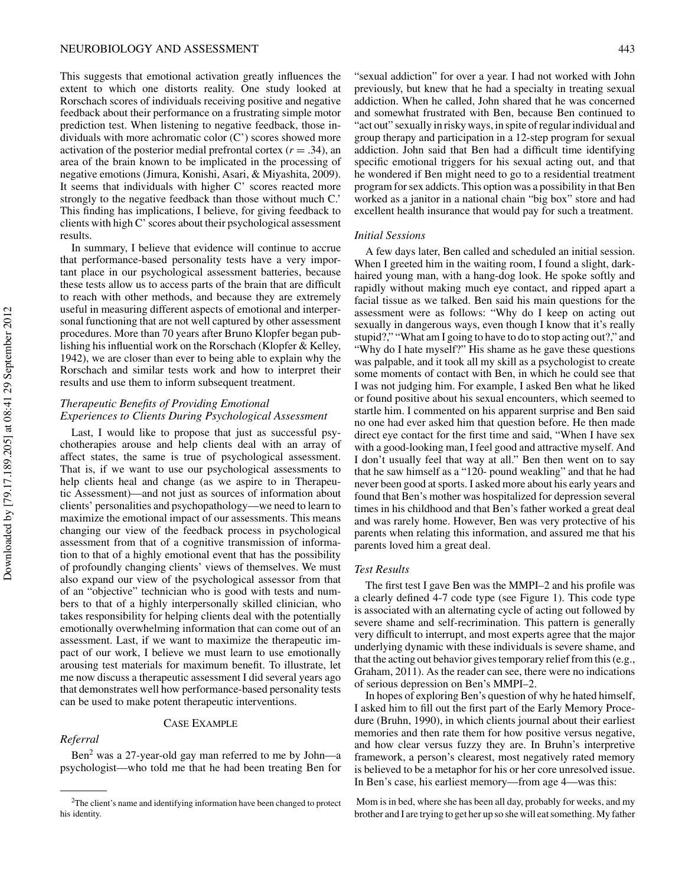#### NEUROBIOLOGY AND ASSESSMENT 443

This suggests that emotional activation greatly influences the extent to which one distorts reality. One study looked at Rorschach scores of individuals receiving positive and negative feedback about their performance on a frustrating simple motor prediction test. When listening to negative feedback, those individuals with more achromatic color (C') scores showed more activation of the posterior medial prefrontal cortex  $(r = .34)$ , an area of the brain known to be implicated in the processing of negative emotions (Jimura, Konishi, Asari, & Miyashita, 2009). It seems that individuals with higher C' scores reacted more strongly to the negative feedback than those without much C.' This finding has implications, I believe, for giving feedback to clients with high C' scores about their psychological assessment results.

In summary, I believe that evidence will continue to accrue that performance-based personality tests have a very important place in our psychological assessment batteries, because these tests allow us to access parts of the brain that are difficult to reach with other methods, and because they are extremely useful in measuring different aspects of emotional and interpersonal functioning that are not well captured by other assessment procedures. More than 70 years after Bruno Klopfer began publishing his influential work on the Rorschach (Klopfer & Kelley, 1942), we are closer than ever to being able to explain why the Rorschach and similar tests work and how to interpret their results and use them to inform subsequent treatment.

## *Therapeutic Benefits of Providing Emotional Experiences to Clients During Psychological Assessment*

Last, I would like to propose that just as successful psychotherapies arouse and help clients deal with an array of affect states, the same is true of psychological assessment. That is, if we want to use our psychological assessments to help clients heal and change (as we aspire to in Therapeutic Assessment)—and not just as sources of information about clients' personalities and psychopathology—we need to learn to maximize the emotional impact of our assessments. This means changing our view of the feedback process in psychological assessment from that of a cognitive transmission of information to that of a highly emotional event that has the possibility of profoundly changing clients' views of themselves. We must also expand our view of the psychological assessor from that of an "objective" technician who is good with tests and numbers to that of a highly interpersonally skilled clinician, who takes responsibility for helping clients deal with the potentially emotionally overwhelming information that can come out of an assessment. Last, if we want to maximize the therapeutic impact of our work, I believe we must learn to use emotionally arousing test materials for maximum benefit. To illustrate, let me now discuss a therapeutic assessment I did several years ago that demonstrates well how performance-based personality tests can be used to make potent therapeutic interventions.

#### CASE EXAMPLE

## *Referral*

Ben2 was a 27-year-old gay man referred to me by John—a psychologist—who told me that he had been treating Ben for

"sexual addiction" for over a year. I had not worked with John previously, but knew that he had a specialty in treating sexual addiction. When he called, John shared that he was concerned and somewhat frustrated with Ben, because Ben continued to "act out" sexually in risky ways, in spite of regular individual and group therapy and participation in a 12-step program for sexual addiction. John said that Ben had a difficult time identifying specific emotional triggers for his sexual acting out, and that he wondered if Ben might need to go to a residential treatment program for sex addicts. This option was a possibility in that Ben worked as a janitor in a national chain "big box" store and had excellent health insurance that would pay for such a treatment.

#### *Initial Sessions*

A few days later, Ben called and scheduled an initial session. When I greeted him in the waiting room, I found a slight, darkhaired young man, with a hang-dog look. He spoke softly and rapidly without making much eye contact, and ripped apart a facial tissue as we talked. Ben said his main questions for the assessment were as follows: "Why do I keep on acting out sexually in dangerous ways, even though I know that it's really stupid?," "What am I going to have to do to stop acting out?," and "Why do I hate myself?" His shame as he gave these questions was palpable, and it took all my skill as a psychologist to create some moments of contact with Ben, in which he could see that I was not judging him. For example, I asked Ben what he liked or found positive about his sexual encounters, which seemed to startle him. I commented on his apparent surprise and Ben said no one had ever asked him that question before. He then made direct eye contact for the first time and said, "When I have sex with a good-looking man, I feel good and attractive myself. And I don't usually feel that way at all." Ben then went on to say that he saw himself as a "120- pound weakling" and that he had never been good at sports. I asked more about his early years and found that Ben's mother was hospitalized for depression several times in his childhood and that Ben's father worked a great deal and was rarely home. However, Ben was very protective of his parents when relating this information, and assured me that his parents loved him a great deal.

#### *Test Results*

The first test I gave Ben was the MMPI–2 and his profile was a clearly defined 4-7 code type (see Figure 1). This code type is associated with an alternating cycle of acting out followed by severe shame and self-recrimination. This pattern is generally very difficult to interrupt, and most experts agree that the major underlying dynamic with these individuals is severe shame, and that the acting out behavior gives temporary relief from this (e.g., Graham, 2011). As the reader can see, there were no indications of serious depression on Ben's MMPI–2.

In hopes of exploring Ben's question of why he hated himself, I asked him to fill out the first part of the Early Memory Procedure (Bruhn, 1990), in which clients journal about their earliest memories and then rate them for how positive versus negative, and how clear versus fuzzy they are. In Bruhn's interpretive framework, a person's clearest, most negatively rated memory is believed to be a metaphor for his or her core unresolved issue. In Ben's case, his earliest memory—from age 4—was this:

Mom is in bed, where she has been all day, probably for weeks, and my brother and I are trying to get her up so she will eat something. My father

<sup>2</sup>The client's name and identifying information have been changed to protect his identity.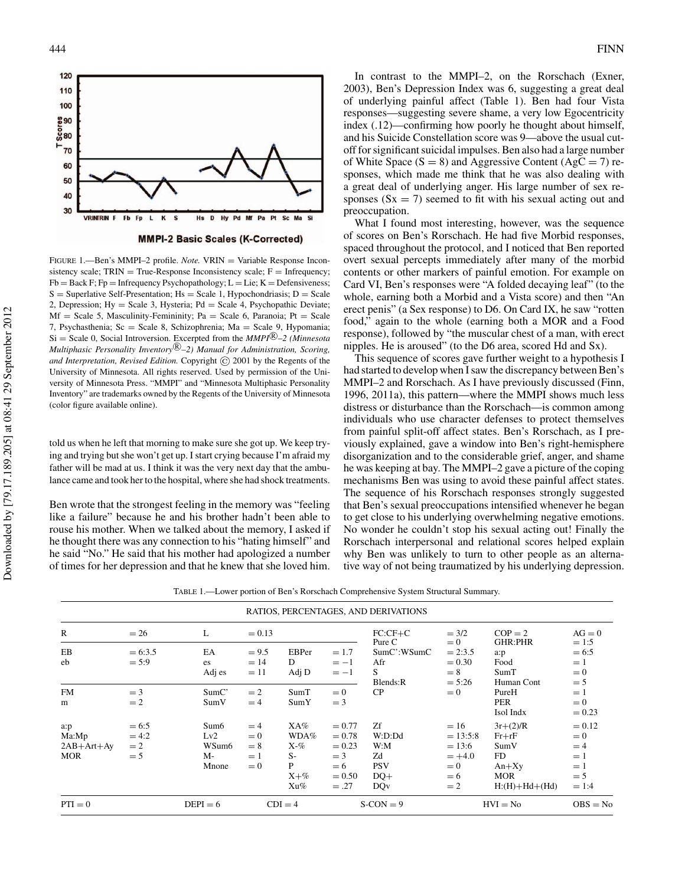

**MMPI-2 Basic Scales (K-Corrected)** 

FIGURE 1.—Ben's MMPI–2 profile. *Note*. VRIN = Variable Response Inconsistency scale;  $TRIN = True$ -Response Inconsistency scale;  $F = Infrequency$ ;  $Fb = Back F; Fp = Infrequency Psychology; L = Lie; K = Defensiveness;$  $S =$  Superlative Self-Presentation; Hs = Scale 1, Hypochondriasis; D = Scale 2, Depression;  $Hy = Scale 3$ , Hysteria;  $Pd = Scale 4$ , Psychopathic Deviate;  $Mf = Scale 5$ , Masculinity-Femininity; Pa = Scale 6, Paranoia; Pt = Scale 7, Psychasthenia; Sc = Scale 8, Schizophrenia; Ma = Scale 9, Hypomania; Si = Scale 0, Social Introversion. Excerpted from the *MMPI*<sup>®</sup>-2 (*Minnesota Multiphasic Personality Inventory*<sup>®</sup>-2) *Manual for Administration, Scoring, and Interpretation, Revised Edition.* Copyright © 2001 by the Regents of the University of Minnesota. All rights reserved. Used by permission of the University of Minnesota Press. "MMPI" and "Minnesota Multiphasic Personality Inventory" are trademarks owned by the Regents of the University of Minnesota (color figure available online).

told us when he left that morning to make sure she got up. We keep trying and trying but she won't get up. I start crying because I'm afraid my father will be mad at us. I think it was the very next day that the ambulance came and took her to the hospital, where she had shock treatments.

Ben wrote that the strongest feeling in the memory was "feeling like a failure" because he and his brother hadn't been able to rouse his mother. When we talked about the memory, I asked if he thought there was any connection to his "hating himself" and he said "No." He said that his mother had apologized a number of times for her depression and that he knew that she loved him.

In contrast to the MMPI–2, on the Rorschach (Exner, 2003), Ben's Depression Index was 6, suggesting a great deal of underlying painful affect (Table 1). Ben had four Vista responses—suggesting severe shame, a very low Egocentricity index (.12)—confirming how poorly he thought about himself, and his Suicide Constellation score was 9—above the usual cutoff for significant suicidal impulses. Ben also had a large number of White Space  $(S = 8)$  and Aggressive Content  $(AgC = 7)$  responses, which made me think that he was also dealing with a great deal of underlying anger. His large number of sex responses  $(Sx = 7)$  seemed to fit with his sexual acting out and preoccupation.

What I found most interesting, however, was the sequence of scores on Ben's Rorschach. He had five Morbid responses, spaced throughout the protocol, and I noticed that Ben reported overt sexual percepts immediately after many of the morbid contents or other markers of painful emotion. For example on Card VI, Ben's responses were "A folded decaying leaf" (to the whole, earning both a Morbid and a Vista score) and then "An erect penis" (a Sex response) to D6. On Card IX, he saw "rotten food," again to the whole (earning both a MOR and a Food response), followed by "the muscular chest of a man, with erect nipples. He is aroused" (to the D6 area, scored Hd and Sx).

This sequence of scores gave further weight to a hypothesis I had started to develop when I saw the discrepancy between Ben's MMPI–2 and Rorschach. As I have previously discussed (Finn, 1996, 2011a), this pattern—where the MMPI shows much less distress or disturbance than the Rorschach—is common among individuals who use character defenses to protect themselves from painful split-off affect states. Ben's Rorschach, as I previously explained, gave a window into Ben's right-hemisphere disorganization and to the considerable grief, anger, and shame he was keeping at bay. The MMPI–2 gave a picture of the coping mechanisms Ben was using to avoid these painful affect states. The sequence of his Rorschach responses strongly suggested that Ben's sexual preoccupations intensified whenever he began to get close to his underlying overwhelming negative emotions. No wonder he couldn't stop his sexual acting out! Finally the Rorschach interpersonal and relational scores helped explain why Ben was unlikely to turn to other people as an alternative way of not being traumatized by his underlying depression.

| RATIOS, PERCENTAGES, AND DERIVATIONS       |                                    |                                                 |                                         |                                                           |                                                                          |                                                                             |                                                                      |                                                                                    |                                                               |
|--------------------------------------------|------------------------------------|-------------------------------------------------|-----------------------------------------|-----------------------------------------------------------|--------------------------------------------------------------------------|-----------------------------------------------------------------------------|----------------------------------------------------------------------|------------------------------------------------------------------------------------|---------------------------------------------------------------|
| $\mathbb{R}$                               | $=26$                              | $\mathbf{L}$                                    | $= 0.13$                                |                                                           |                                                                          | $FC:CF + C$<br>Pure C                                                       | $= 3/2$<br>$= 0$                                                     | $COP = 2$<br><b>GHR:PHR</b>                                                        | $AG = 0$<br>$= 1:5$                                           |
| EB<br>eb                                   | $= 6:3.5$<br>$= 5:9$               | EA<br>es<br>Adj es                              | $= 9.5$<br>$=14$<br>$=11$               | <b>EBPer</b><br>D<br>Adj D                                | $=1.7$<br>$=-1$<br>$=-1$                                                 | SumC':WSumC<br>Afr<br>S<br>Blends:R<br>CP                                   | $= 2:3.5$<br>$= 0.30$<br>$= 8$<br>$= 5:26$<br>$= 0$                  | a:p<br>Food<br>SumT<br>Human Cont<br>PureH<br><b>PER</b><br>Isol Indx              | $= 6:5$<br>$=1$<br>$= 0$<br>$= 5$                             |
| <b>FM</b><br>m                             | $=$ 3<br>$=2$                      | SumC'<br>SumV                                   | $= 2$<br>$=4$                           | SumT<br>SumY                                              | $= 0$<br>$=$ 3                                                           |                                                                             |                                                                      |                                                                                    | $=1$<br>$= 0$<br>$= 0.23$                                     |
| a:p<br>Ma:Mp<br>$2AB+Art+Ay$<br><b>MOR</b> | $= 6:5$<br>$=4:2$<br>$=2$<br>$= 5$ | Sum <sub>6</sub><br>Lv2<br>WSum6<br>M-<br>Mnone | $=4$<br>$= 0$<br>$= 8$<br>$=1$<br>$= 0$ | XA%<br>$WDA\%$<br>$X -\%$<br>$S-$<br>P<br>$X + \%$<br>Xu% | $= 0.77$<br>$= 0.78$<br>$= 0.23$<br>$=$ 3<br>$= 6$<br>$= 0.50$<br>$=.27$ | 7f<br>W:D:D <sub>d</sub><br>W: M<br>Zd<br><b>PSV</b><br>$DO+$<br><b>DQv</b> | $=16$<br>$= 13:5:8$<br>$= 13:6$<br>$=+4.0$<br>$= 0$<br>$= 6$<br>$=2$ | $3r+(2)/R$<br>$Fr + rF$<br>SumV<br>FD.<br>$An+Xy$<br><b>MOR</b><br>$H:(H)+Hd+(Hd)$ | $= 0.12$<br>$= 0$<br>$=4$<br>$=1$<br>$=1$<br>$= 5$<br>$= 1:4$ |
| $PTI = 0$                                  |                                    | $DEPI = 6$                                      | $CDI = 4$                               |                                                           | $S-CON = 9$                                                              |                                                                             | $HVI = No$                                                           |                                                                                    | $OBS = No$                                                    |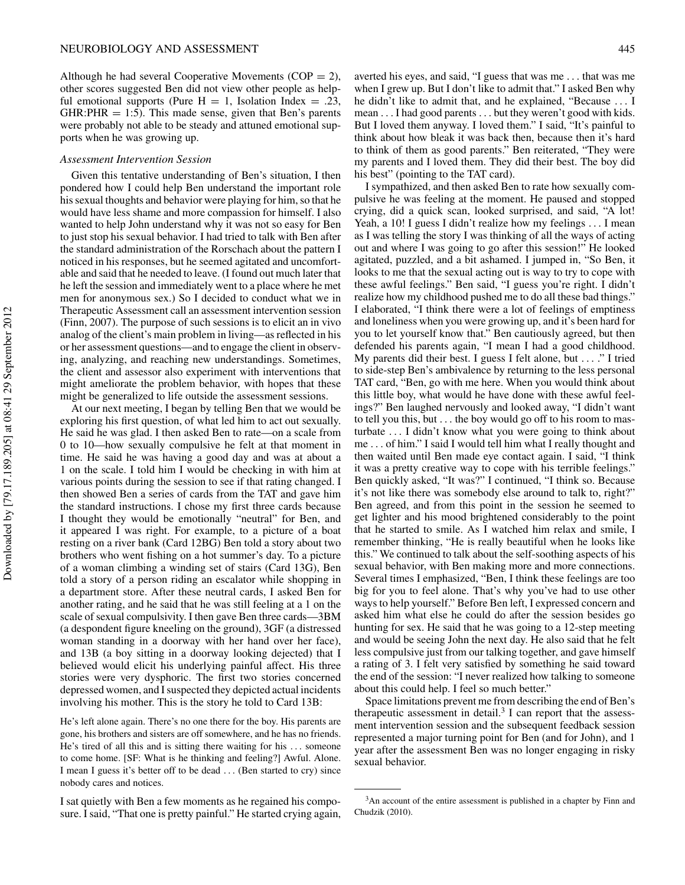Although he had several Cooperative Movements ( $COP = 2$ ), other scores suggested Ben did not view other people as helpful emotional supports (Pure  $H = 1$ , Isolation Index = .23,  $GHR:PHR = 1:5$ . This made sense, given that Ben's parents were probably not able to be steady and attuned emotional supports when he was growing up.

#### *Assessment Intervention Session*

Given this tentative understanding of Ben's situation, I then pondered how I could help Ben understand the important role his sexual thoughts and behavior were playing for him, so that he would have less shame and more compassion for himself. I also wanted to help John understand why it was not so easy for Ben to just stop his sexual behavior. I had tried to talk with Ben after the standard administration of the Rorschach about the pattern I noticed in his responses, but he seemed agitated and uncomfortable and said that he needed to leave. (I found out much later that he left the session and immediately went to a place where he met men for anonymous sex.) So I decided to conduct what we in Therapeutic Assessment call an assessment intervention session (Finn, 2007). The purpose of such sessions is to elicit an in vivo analog of the client's main problem in living—as reflected in his or her assessment questions—and to engage the client in observing, analyzing, and reaching new understandings. Sometimes, the client and assessor also experiment with interventions that might ameliorate the problem behavior, with hopes that these might be generalized to life outside the assessment sessions.

At our next meeting, I began by telling Ben that we would be exploring his first question, of what led him to act out sexually. He said he was glad. I then asked Ben to rate—on a scale from 0 to 10—how sexually compulsive he felt at that moment in time. He said he was having a good day and was at about a 1 on the scale. I told him I would be checking in with him at various points during the session to see if that rating changed. I then showed Ben a series of cards from the TAT and gave him the standard instructions. I chose my first three cards because I thought they would be emotionally "neutral" for Ben, and it appeared I was right. For example, to a picture of a boat resting on a river bank (Card 12BG) Ben told a story about two brothers who went fishing on a hot summer's day. To a picture of a woman climbing a winding set of stairs (Card 13G), Ben told a story of a person riding an escalator while shopping in a department store. After these neutral cards, I asked Ben for another rating, and he said that he was still feeling at a 1 on the scale of sexual compulsivity. I then gave Ben three cards—3BM (a despondent figure kneeling on the ground), 3GF (a distressed woman standing in a doorway with her hand over her face), and 13B (a boy sitting in a doorway looking dejected) that I believed would elicit his underlying painful affect. His three stories were very dysphoric. The first two stories concerned depressed women, and I suspected they depicted actual incidents involving his mother. This is the story he told to Card 13B:

He's left alone again. There's no one there for the boy. His parents are gone, his brothers and sisters are off somewhere, and he has no friends. He's tired of all this and is sitting there waiting for his *...* someone to come home. [SF: What is he thinking and feeling?] Awful. Alone. I mean I guess it's better off to be dead *...* (Ben started to cry) since nobody cares and notices.

I sat quietly with Ben a few moments as he regained his composure. I said, "That one is pretty painful." He started crying again, averted his eyes, and said, "I guess that was me *...* that was me when I grew up. But I don't like to admit that." I asked Ben why he didn't like to admit that, and he explained, "Because *...* I mean *...* I had good parents *...* but they weren't good with kids. But I loved them anyway. I loved them." I said, "It's painful to think about how bleak it was back then, because then it's hard to think of them as good parents." Ben reiterated, "They were my parents and I loved them. They did their best. The boy did his best" (pointing to the TAT card).

I sympathized, and then asked Ben to rate how sexually compulsive he was feeling at the moment. He paused and stopped crying, did a quick scan, looked surprised, and said, "A lot! Yeah, a 10! I guess I didn't realize how my feelings *...* I mean as I was telling the story I was thinking of all the ways of acting out and where I was going to go after this session!" He looked agitated, puzzled, and a bit ashamed. I jumped in, "So Ben, it looks to me that the sexual acting out is way to try to cope with these awful feelings." Ben said, "I guess you're right. I didn't realize how my childhood pushed me to do all these bad things." I elaborated, "I think there were a lot of feelings of emptiness and loneliness when you were growing up, and it's been hard for you to let yourself know that." Ben cautiously agreed, but then defended his parents again, "I mean I had a good childhood. My parents did their best. I guess I felt alone, but *...* ." I tried to side-step Ben's ambivalence by returning to the less personal TAT card, "Ben, go with me here. When you would think about this little boy, what would he have done with these awful feelings?" Ben laughed nervously and looked away, "I didn't want to tell you this, but *...* the boy would go off to his room to masturbate *...* I didn't know what you were going to think about me *...* of him." I said I would tell him what I really thought and then waited until Ben made eye contact again. I said, "I think it was a pretty creative way to cope with his terrible feelings." Ben quickly asked, "It was?" I continued, "I think so. Because it's not like there was somebody else around to talk to, right?" Ben agreed, and from this point in the session he seemed to get lighter and his mood brightened considerably to the point that he started to smile. As I watched him relax and smile, I remember thinking, "He is really beautiful when he looks like this." We continued to talk about the self-soothing aspects of his sexual behavior, with Ben making more and more connections. Several times I emphasized, "Ben, I think these feelings are too big for you to feel alone. That's why you've had to use other ways to help yourself." Before Ben left, I expressed concern and asked him what else he could do after the session besides go hunting for sex. He said that he was going to a 12-step meeting and would be seeing John the next day. He also said that he felt less compulsive just from our talking together, and gave himself a rating of 3. I felt very satisfied by something he said toward the end of the session: "I never realized how talking to someone about this could help. I feel so much better."

Space limitations prevent me from describing the end of Ben's therapeutic assessment in detail. $3$  I can report that the assessment intervention session and the subsequent feedback session represented a major turning point for Ben (and for John), and 1 year after the assessment Ben was no longer engaging in risky sexual behavior.

<sup>&</sup>lt;sup>3</sup>An account of the entire assessment is published in a chapter by Finn and Chudzik (2010).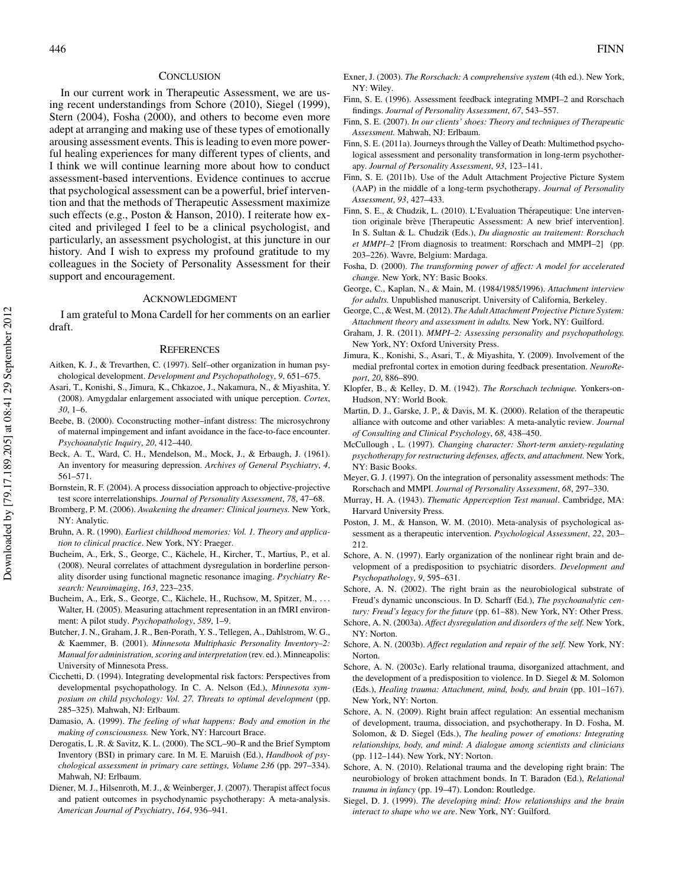In our current work in Therapeutic Assessment, we are using recent understandings from Schore (2010), Siegel (1999), Stern (2004), Fosha (2000), and others to become even more adept at arranging and making use of these types of emotionally arousing assessment events. This is leading to even more powerful healing experiences for many different types of clients, and I think we will continue learning more about how to conduct assessment-based interventions. Evidence continues to accrue that psychological assessment can be a powerful, brief intervention and that the methods of Therapeutic Assessment maximize such effects (e.g., Poston & Hanson, 2010). I reiterate how excited and privileged I feel to be a clinical psychologist, and particularly, an assessment psychologist, at this juncture in our history. And I wish to express my profound gratitude to my colleagues in the Society of Personality Assessment for their support and encouragement.

## ACKNOWLEDGMENT

I am grateful to Mona Cardell for her comments on an earlier draft.

#### **REFERENCES**

- Aitken, K. J., & Trevarthen, C. (1997). Self–other organization in human psychological development. *Development and Psychopathology*, *9*, 651–675.
- Asari, T., Konishi, S., Jimura, K., Chkazoe, J., Nakamura, N., & Miyashita, Y. (2008). Amygdalar enlargement associated with unique perception. *Cortex*, *30*, 1–6.
- Beebe, B. (2000). Coconstructing mother–infant distress: The microsychrony of maternal impingement and infant avoidance in the face-to-face encounter. *Psychoanalytic Inquiry*, *20*, 412–440.
- Beck, A. T., Ward, C. H., Mendelson, M., Mock, J., & Erbaugh, J. (1961). An inventory for measuring depression. *Archives of General Psychiatry*, *4*, 561–571.
- Bornstein, R. F. (2004). A process dissociation approach to objective-projective test score interrelationships. *Journal of Personality Assessment*, *78*, 47–68.
- Bromberg, P. M. (2006). *Awakening the dreamer: Clinical journeys.* New York, NY: Analytic.
- Bruhn, A. R. (1990). *Earliest childhood memories: Vol. 1. Theory and application to clinical practice*. New York, NY: Praeger.
- Bucheim, A., Erk, S., George, C., Kächele, H., Kircher, T., Martius, P., et al. (2008). Neural correlates of attachment dysregulation in borderline personality disorder using functional magnetic resonance imaging. *Psychiatry Research: Neuroimaging*, *163*, 223–235.
- Bucheim, A., Erk, S., George, C., Kächele, H., Ruchsow, M., Spitzer, M., ... Walter, H. (2005). Measuring attachment representation in an fMRI environment: A pilot study. *Psychopathology*, *589*, 1–9.
- Butcher, J. N., Graham, J. R., Ben-Porath, Y. S., Tellegen, A., Dahlstrom, W. G., & Kaemmer, B. (2001). *Minnesota Multiphasic Personality Inventory–2: Manual for administration, scoring and interpretation* (rev. ed.). Minneapolis: University of Minnesota Press.
- Cicchetti, D. (1994). Integrating developmental risk factors: Perspectives from developmental psychopathology. In C. A. Nelson (Ed.), *Minnesota symposium on child psychology: Vol. 27. Threats to optimal development* (pp. 285–325). Mahwah, NJ: Erlbaum.
- Damasio, A. (1999). *The feeling of what happens: Body and emotion in the making of consciousness.* New York, NY: Harcourt Brace.
- Derogatis, L .R. & Savitz, K. L. (2000). The SCL–90–R and the Brief Symptom Inventory (BSI) in primary care. In M. E. Maruish (Ed.), *Handbook of psychological assessment in primary care settings, Volume 236* (pp. 297–334). Mahwah, NJ: Erlbaum.
- Diener, M. J., Hilsenroth, M. J., & Weinberger, J. (2007). Therapist affect focus and patient outcomes in psychodynamic psychotherapy: A meta-analysis. *American Journal of Psychiatry*, *164*, 936–941.
- Exner, J. (2003). *The Rorschach: A comprehensive system* (4th ed.). New York, NY: Wiley.
- Finn, S. E. (1996). Assessment feedback integrating MMPI–2 and Rorschach findings. *Journal of Personality Assessment*, *67*, 543–557.
- Finn, S. E. (2007). *In our clients' shoes: Theory and techniques of Therapeutic Assessment.* Mahwah, NJ: Erlbaum.
- Finn, S. E. (2011a). Journeys through the Valley of Death: Multimethod psychological assessment and personality transformation in long-term psychotherapy. *Journal of Personality Assessment*, *93*, 123–141.
- Finn, S. E. (2011b). Use of the Adult Attachment Projective Picture System (AAP) in the middle of a long-term psychotherapy. *Journal of Personality Assessment*, *93*, 427–433.
- Finn, S. E., & Chudzik, L. (2010). L'Evaluation Thérapeutique: Une intervention originale brève [Therapeutic Assessment: A new brief intervention]. In S. Sultan & L. Chudzik (Eds.), *Du diagnostic au traitement: Rorschach et MMPI–2* [From diagnosis to treatment: Rorschach and MMPI–2] (pp. 203–226). Wavre, Belgium: Mardaga.
- Fosha, D. (2000). *The transforming power of affect: A model for accelerated change.* New York, NY: Basic Books.
- George, C., Kaplan, N., & Main, M. (1984/1985/1996). *Attachment interview for adults.* Unpublished manuscript. University of California, Berkeley.
- George, C., & West, M. (2012). *The Adult Attachment Projective Picture System: Attachment theory and assessment in adults.* New York, NY: Guilford.
- Graham, J. R. (2011). *MMPI–2: Assessing personality and psychopathology.* New York, NY: Oxford University Press.
- Jimura, K., Konishi, S., Asari, T., & Miyashita, Y. (2009). Involvement of the medial prefrontal cortex in emotion during feedback presentation. *NeuroReport*, *20*, 886–890.
- Klopfer, B., & Kelley, D. M. (1942). *The Rorschach technique.* Yonkers-on-Hudson, NY: World Book.
- Martin, D. J., Garske, J. P., & Davis, M. K. (2000). Relation of the therapeutic alliance with outcome and other variables: A meta-analytic review. *Journal of Consulting and Clinical Psychology*, *68*, 438–450.
- McCullough , L. (1997). *Changing character: Short-term anxiety-regulating psychotherapy for restructuring defenses, affects, and attachment.* New York, NY: Basic Books.
- Meyer, G. J. (1997). On the integration of personality assessment methods: The Rorschach and MMPI. *Journal of Personality Assessment*, *68*, 297–330.
- Murray, H. A. (1943). *Thematic Apperception Test manual*. Cambridge, MA: Harvard University Press.
- Poston, J. M., & Hanson, W. M. (2010). Meta-analysis of psychological assessment as a therapeutic intervention. *Psychological Assessment*, *22*, 203– 212.
- Schore, A. N. (1997). Early organization of the nonlinear right brain and development of a predisposition to psychiatric disorders. *Development and Psychopathology*, *9*, 595–631.
- Schore, A. N. (2002). The right brain as the neurobiological substrate of Freud's dynamic unconscious. In D. Scharff (Ed.), *The psychoanalytic century: Freud's legacy for the future* (pp. 61–88). New York, NY: Other Press.
- Schore, A. N. (2003a). *Affect dysregulation and disorders of the self.* New York, NY: Norton.
- Schore, A. N. (2003b). *Affect regulation and repair of the self.* New York, NY: Norton.
- Schore, A. N. (2003c). Early relational trauma, disorganized attachment, and the development of a predisposition to violence. In D. Siegel & M. Solomon (Eds.), *Healing trauma: Attachment, mind, body, and brain* (pp. 101–167). New York, NY: Norton.
- Schore, A. N. (2009). Right brain affect regulation: An essential mechanism of development, trauma, dissociation, and psychotherapy. In D. Fosha, M. Solomon, & D. Siegel (Eds.), *The healing power of emotions: Integrating relationships, body, and mind: A dialogue among scientists and clinicians* (pp. 112–144). New York, NY: Norton.
- Schore, A. N. (2010). Relational trauma and the developing right brain: The neurobiology of broken attachment bonds. In T. Baradon (Ed.), *Relational trauma in infancy* (pp. 19–47). London: Routledge.
- Siegel, D. J. (1999). *The developing mind: How relationships and the brain interact to shape who we are*. New York, NY: Guilford.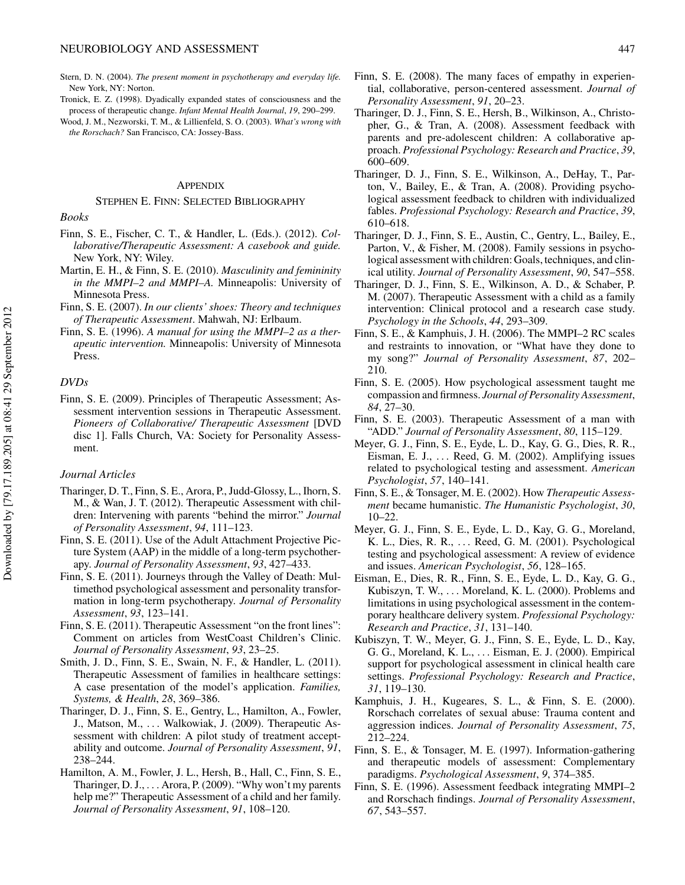- Stern, D. N. (2004). *The present moment in psychotherapy and everyday life.* New York, NY: Norton.
- Tronick, E. Z. (1998). Dyadically expanded states of consciousness and the process of therapeutic change. *Infant Mental Health Journal*, *19*, 290–299.
- Wood, J. M., Nezworski, T. M., & Lillienfeld, S. O. (2003). *What's wrong with the Rorschach?* San Francisco, CA: Jossey-Bass.

## **APPENDIX**

#### STEPHEN E. FINN: SELECTED BIBLIOGRAPHY

#### *Books*

- Finn, S. E., Fischer, C. T., & Handler, L. (Eds.). (2012). *Collaborative/Therapeutic Assessment: A casebook and guide.* New York, NY: Wiley.
- Martin, E. H., & Finn, S. E. (2010). *Masculinity and femininity in the MMPI–2 and MMPI–A.* Minneapolis: University of Minnesota Press.
- Finn, S. E. (2007). *In our clients' shoes: Theory and techniques of Therapeutic Assessment*. Mahwah, NJ: Erlbaum.
- Finn, S. E. (1996). *A manual for using the MMPI–2 as a therapeutic intervention.* Minneapolis: University of Minnesota Press.

#### *DVDs*

Finn, S. E. (2009). Principles of Therapeutic Assessment; Assessment intervention sessions in Therapeutic Assessment. *Pioneers of Collaborative/ Therapeutic Assessment* [DVD disc 1]. Falls Church, VA: Society for Personality Assessment.

#### *Journal Articles*

- Tharinger, D. T., Finn, S. E., Arora, P., Judd-Glossy, L., Ihorn, S. M., & Wan, J. T. (2012). Therapeutic Assessment with children: Intervening with parents "behind the mirror." *Journal of Personality Assessment*, *94*, 111–123.
- Finn, S. E. (2011). Use of the Adult Attachment Projective Picture System (AAP) in the middle of a long-term psychotherapy. *Journal of Personality Assessment*, *93*, 427–433.
- Finn, S. E. (2011). Journeys through the Valley of Death: Multimethod psychological assessment and personality transformation in long-term psychotherapy. *Journal of Personality Assessment*, *93*, 123–141.
- Finn, S. E. (2011). Therapeutic Assessment "on the front lines": Comment on articles from WestCoast Children's Clinic. *Journal of Personality Assessment*, *93*, 23–25.
- Smith, J. D., Finn, S. E., Swain, N. F., & Handler, L. (2011). Therapeutic Assessment of families in healthcare settings: A case presentation of the model's application. *Families, Systems, & Health*, *28*, 369–386.
- Tharinger, D. J., Finn, S. E., Gentry, L., Hamilton, A., Fowler, J., Matson, M., *...* Walkowiak, J. (2009). Therapeutic Assessment with children: A pilot study of treatment acceptability and outcome. *Journal of Personality Assessment*, *91*, 238–244.
- Hamilton, A. M., Fowler, J. L., Hersh, B., Hall, C., Finn, S. E., Tharinger, D. J., *...* Arora, P. (2009). "Why won't my parents help me?" Therapeutic Assessment of a child and her family. *Journal of Personality Assessment*, *91*, 108–120.
- Finn, S. E. (2008). The many faces of empathy in experiential, collaborative, person-centered assessment. *Journal of Personality Assessment*, *91*, 20–23.
- Tharinger, D. J., Finn, S. E., Hersh, B., Wilkinson, A., Christopher, G., & Tran, A. (2008). Assessment feedback with parents and pre-adolescent children: A collaborative approach. *Professional Psychology: Research and Practice*, *39*, 600–609.
- Tharinger, D. J., Finn, S. E., Wilkinson, A., DeHay, T., Parton, V., Bailey, E., & Tran, A. (2008). Providing psychological assessment feedback to children with individualized fables. *Professional Psychology: Research and Practice*, *39*, 610–618.
- Tharinger, D. J., Finn, S. E., Austin, C., Gentry, L., Bailey, E., Parton, V., & Fisher, M. (2008). Family sessions in psychological assessment with children: Goals, techniques, and clinical utility. *Journal of Personality Assessment*, *90*, 547–558.
- Tharinger, D. J., Finn, S. E., Wilkinson, A. D., & Schaber, P. M. (2007). Therapeutic Assessment with a child as a family intervention: Clinical protocol and a research case study. *Psychology in the Schools*, *44*, 293–309.
- Finn, S. E., & Kamphuis, J. H. (2006). The MMPI–2 RC scales and restraints to innovation, or "What have they done to my song?" *Journal of Personality Assessment*, *87*, 202– 210.
- Finn, S. E. (2005). How psychological assessment taught me compassion and firmness. *Journal of Personality Assessment*, *84*, 27–30.
- Finn, S. E. (2003). Therapeutic Assessment of a man with "ADD." *Journal of Personality Assessment*, *80*, 115–129.
- Meyer, G. J., Finn, S. E., Eyde, L. D., Kay, G. G., Dies, R. R., Eisman, E. J., *...* Reed, G. M. (2002). Amplifying issues related to psychological testing and assessment. *American Psychologist*, *57*, 140–141.
- Finn, S. E., & Tonsager, M. E. (2002). How *Therapeutic Assessment* became humanistic. *The Humanistic Psychologist*, *30*, 10–22.
- Meyer, G. J., Finn, S. E., Eyde, L. D., Kay, G. G., Moreland, K. L., Dies, R. R., *...* Reed, G. M. (2001). Psychological testing and psychological assessment: A review of evidence and issues. *American Psychologist*, *56*, 128–165.
- Eisman, E., Dies, R. R., Finn, S. E., Eyde, L. D., Kay, G. G., Kubiszyn, T. W., *...* Moreland, K. L. (2000). Problems and limitations in using psychological assessment in the contemporary healthcare delivery system. *Professional Psychology: Research and Practice*, *31*, 131–140.
- Kubiszyn, T. W., Meyer, G. J., Finn, S. E., Eyde, L. D., Kay, G. G., Moreland, K. L., *...* Eisman, E. J. (2000). Empirical support for psychological assessment in clinical health care settings. *Professional Psychology: Research and Practice*, *31*, 119–130.
- Kamphuis, J. H., Kugeares, S. L., & Finn, S. E. (2000). Rorschach correlates of sexual abuse: Trauma content and aggression indices. *Journal of Personality Assessment*, *75*, 212–224.
- Finn, S. E., & Tonsager, M. E. (1997). Information-gathering and therapeutic models of assessment: Complementary paradigms. *Psychological Assessment*, *9*, 374–385.
- Finn, S. E. (1996). Assessment feedback integrating MMPI–2 and Rorschach findings. *Journal of Personality Assessment*, *67*, 543–557.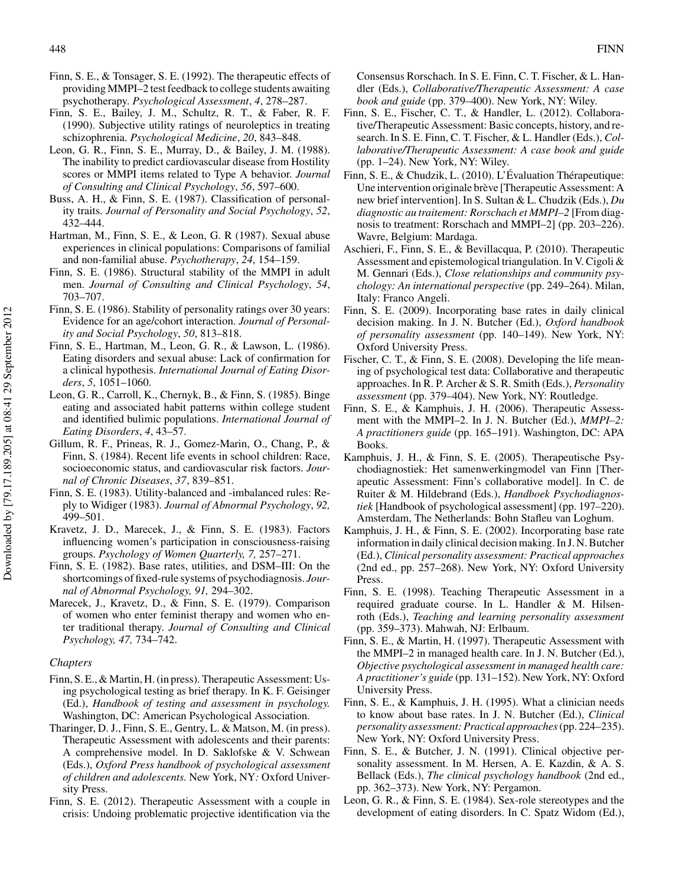- Finn, S. E., & Tonsager, S. E. (1992). The therapeutic effects of providing MMPI–2 test feedback to college students awaiting psychotherapy. *Psychological Assessment*, *4*, 278–287.
- Finn, S. E., Bailey, J. M., Schultz, R. T., & Faber, R. F. (1990). Subjective utility ratings of neuroleptics in treating schizophrenia. *Psychological Medicine*, *20*, 843–848.
- Leon, G. R., Finn, S. E., Murray, D., & Bailey, J. M. (1988). The inability to predict cardiovascular disease from Hostility scores or MMPI items related to Type A behavior. *Journal of Consulting and Clinical Psychology*, *56*, 597–600.
- Buss, A. H., & Finn, S. E. (1987). Classification of personality traits. *Journal of Personality and Social Psychology*, *52*, 432–444.
- Hartman, M., Finn, S. E., & Leon, G. R (1987). Sexual abuse experiences in clinical populations: Comparisons of familial and non-familial abuse. *Psychotherapy*, *24*, 154–159.
- Finn, S. E. (1986). Structural stability of the MMPI in adult men. *Journal of Consulting and Clinical Psychology*, *54*, 703–707.
- Finn, S. E. (1986). Stability of personality ratings over 30 years: Evidence for an age/cohort interaction. *Journal of Personality and Social Psychology*, *50*, 813–818.
- Finn, S. E., Hartman, M., Leon, G. R., & Lawson, L. (1986). Eating disorders and sexual abuse: Lack of confirmation for a clinical hypothesis. *International Journal of Eating Disorders*, *5*, 1051–1060.
- Leon, G. R., Carroll, K., Chernyk, B., & Finn, S. (1985). Binge eating and associated habit patterns within college student and identified bulimic populations. *International Journal of Eating Disorders*, *4*, 43–57.
- Gillum, R. F., Prineas, R. J., Gomez-Marin, O., Chang, P., & Finn, S. (1984). Recent life events in school children: Race, socioeconomic status, and cardiovascular risk factors. *Journal of Chronic Diseases*, *37*, 839–851.
- Finn, S. E. (1983). Utility-balanced and -imbalanced rules: Reply to Widiger (1983). *Journal of Abnormal Psychology*, *92,* 499–501.
- Kravetz, J. D., Marecek, J., & Finn, S. E. (1983). Factors influencing women's participation in consciousness-raising groups. *Psychology of Women Quarterly, 7,* 257–271.
- Finn, S. E. (1982). Base rates, utilities, and DSM–III: On the shortcomings of fixed-rule systems of psychodiagnosis. *Journal of Abnormal Psychology, 91,* 294–302.
- Marecek, J., Kravetz, D., & Finn, S. E. (1979). Comparison of women who enter feminist therapy and women who enter traditional therapy. *Journal of Consulting and Clinical Psychology, 47,* 734–742.

## *Chapters*

- Finn, S. E., & Martin, H. (in press). Therapeutic Assessment: Using psychological testing as brief therapy. In K. F. Geisinger (Ed.), *Handbook of testing and assessment in psychology.* Washington, DC: American Psychological Association.
- Tharinger, D. J., Finn, S. E., Gentry, L. & Matson, M. (in press). Therapeutic Assessment with adolescents and their parents: A comprehensive model. In D. Saklofske & V. Schwean (Eds.), *Oxford Press handbook of psychological assessment of children and adolescents.* New York, NY*:* Oxford University Press.
- Finn, S. E. (2012). Therapeutic Assessment with a couple in crisis: Undoing problematic projective identification via the

Consensus Rorschach. In S. E. Finn, C. T. Fischer, & L. Handler (Eds.), *Collaborative/Therapeutic Assessment: A case book and guide* (pp. 379–400). New York, NY: Wiley.

- Finn, S. E., Fischer, C. T., & Handler, L. (2012). Collaborative/Therapeutic Assessment: Basic concepts, history, and research. In S. E. Finn, C. T. Fischer, & L. Handler (Eds.), *Collaborative/Therapeutic Assessment: A case book and guide* (pp. 1–24). New York, NY: Wiley.
- Finn, S. E., & Chudzik, L. (2010). L'Evaluation Thérapeutique: Une intervention originale brève [Therapeutic Assessment: A new brief intervention]. In S. Sultan & L. Chudzik (Eds.), *Du diagnostic au traitement: Rorschach et MMPI–2* [From diagnosis to treatment: Rorschach and MMPI–2] (pp. 203–226). Wavre, Belgium: Mardaga.
- Aschieri, F., Finn, S. E., & Bevillacqua, P. (2010). Therapeutic Assessment and epistemological triangulation. In V. Cigoli & M. Gennari (Eds.), *Close relationships and community psychology: An international perspective* (pp. 249–264). Milan, Italy: Franco Angeli.
- Finn, S. E. (2009). Incorporating base rates in daily clinical decision making. In J. N. Butcher (Ed.), *Oxford handbook of personality assessment* (pp. 140–149). New York, NY: Oxford University Press.
- Fischer, C. T., & Finn, S. E. (2008). Developing the life meaning of psychological test data: Collaborative and therapeutic approaches. In R. P. Archer & S. R. Smith (Eds.), *Personality assessment* (pp. 379–404). New York, NY: Routledge.
- Finn, S. E., & Kamphuis, J. H. (2006). Therapeutic Assessment with the MMPI–2. In J. N. Butcher (Ed.), *MMPI–2: A practitioners guide* (pp. 165–191). Washington, DC: APA Books.
- Kamphuis, J. H., & Finn, S. E. (2005). Therapeutische Psychodiagnostiek: Het samenwerkingmodel van Finn [Therapeutic Assessment: Finn's collaborative model]. In C. de Ruiter & M. Hildebrand (Eds.), *Handboek Psychodiagnostiek* [Handbook of psychological assessment] (pp. 197–220). Amsterdam, The Netherlands: Bohn Stafleu van Loghum.
- Kamphuis, J. H., & Finn, S. E. (2002). Incorporating base rate information in daily clinical decision making. In J. N. Butcher (Ed.), *Clinical personality assessment: Practical approaches* (2nd ed., pp. 257–268). New York, NY: Oxford University Press.
- Finn, S. E. (1998). Teaching Therapeutic Assessment in a required graduate course. In L. Handler & M. Hilsenroth (Eds.), *Teaching and learning personality assessment* (pp. 359–373). Mahwah, NJ: Erlbaum.
- Finn, S. E., & Martin, H. (1997). Therapeutic Assessment with the MMPI–2 in managed health care. In J. N. Butcher (Ed.), *Objective psychological assessment in managed health care: A practitioner's guide* (pp. 131–152). New York, NY: Oxford University Press.
- Finn, S. E., & Kamphuis, J. H. (1995). What a clinician needs to know about base rates. In J. N. Butcher (Ed.), *Clinical personality assessment: Practical approaches*(pp. 224–235). New York, NY: Oxford University Press.
- Finn, S. E., & Butcher, J. N. (1991). Clinical objective personality assessment. In M. Hersen, A. E. Kazdin, & A. S. Bellack (Eds.), *The clinical psychology handbook* (2nd ed., pp. 362–373). New York, NY: Pergamon.
- Leon, G. R., & Finn, S. E. (1984). Sex-role stereotypes and the development of eating disorders. In C. Spatz Widom (Ed.),